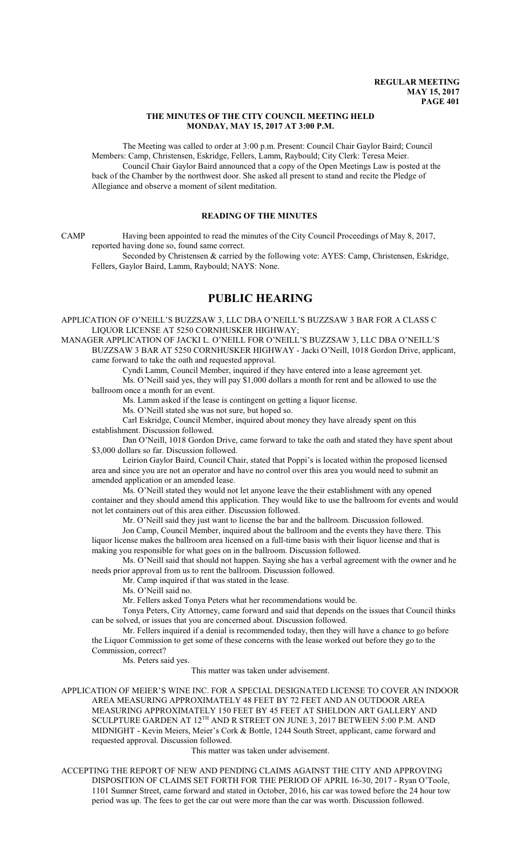#### **THE MINUTES OF THE CITY COUNCIL MEETING HELD MONDAY, MAY 15, 2017 AT 3:00 P.M.**

The Meeting was called to order at 3:00 p.m. Present: Council Chair Gaylor Baird; Council Members: Camp, Christensen, Eskridge, Fellers, Lamm, Raybould; City Clerk: Teresa Meier. Council Chair Gaylor Baird announced that a copy of the Open Meetings Law is posted at the back of the Chamber by the northwest door. She asked all present to stand and recite the Pledge of Allegiance and observe a moment of silent meditation.

# **READING OF THE MINUTES**

CAMP Having been appointed to read the minutes of the City Council Proceedings of May 8, 2017, reported having done so, found same correct.

Seconded by Christensen & carried by the following vote: AYES: Camp, Christensen, Eskridge, Fellers, Gaylor Baird, Lamm, Raybould; NAYS: None.

# **PUBLIC HEARING**

APPLICATION OF O'NEILL'S BUZZSAW 3, LLC DBA O'NEILL'S BUZZSAW 3 BAR FOR A CLASS C LIQUOR LICENSE AT 5250 CORNHUSKER HIGHWAY;

MANAGER APPLICATION OF JACKI L. O'NEILL FOR O'NEILL'S BUZZSAW 3, LLC DBA O'NEILL'S BUZZSAW 3 BAR AT 5250 CORNHUSKER HIGHWAY - Jacki O'Neill, 1018 Gordon Drive, applicant, came forward to take the oath and requested approval.

Cyndi Lamm, Council Member, inquired if they have entered into a lease agreement yet. Ms. O'Neill said yes, they will pay \$1,000 dollars a month for rent and be allowed to use the

ballroom once a month for an event.

Ms. Lamm asked if the lease is contingent on getting a liquor license.

Ms. O'Neill stated she was not sure, but hoped so.

Carl Eskridge, Council Member, inquired about money they have already spent on this establishment. Discussion followed.

Dan O'Neill, 1018 Gordon Drive, came forward to take the oath and stated they have spent about \$3,000 dollars so far. Discussion followed.

Leirion Gaylor Baird, Council Chair, stated that Poppi's is located within the proposed licensed area and since you are not an operator and have no control over this area you would need to submit an amended application or an amended lease.

Ms. O'Neill stated they would not let anyone leave the their establishment with any opened container and they should amend this application. They would like to use the ballroom for events and would not let containers out of this area either. Discussion followed.

Mr. O'Neill said they just want to license the bar and the ballroom. Discussion followed.

Jon Camp, Council Member, inquired about the ballroom and the events they have there. This liquor license makes the ballroom area licensed on a full-time basis with their liquor license and that is making you responsible for what goes on in the ballroom. Discussion followed.

Ms. O'Neill said that should not happen. Saying she has a verbal agreement with the owner and he needs prior approval from us to rent the ballroom. Discussion followed.

Mr. Camp inquired if that was stated in the lease.

Ms. O'Neill said no.

Mr. Fellers asked Tonya Peters what her recommendations would be.

Tonya Peters, City Attorney, came forward and said that depends on the issues that Council thinks can be solved, or issues that you are concerned about. Discussion followed.

Mr. Fellers inquired if a denial is recommended today, then they will have a chance to go before the Liquor Commission to get some of these concerns with the lease worked out before they go to the Commission, correct?

Ms. Peters said yes.

This matter was taken under advisement.

APPLICATION OF MEIER'S WINE INC. FOR A SPECIAL DESIGNATED LICENSE TO COVER AN INDOOR AREA MEASURING APPROXIMATELY 48 FEET BY 72 FEET AND AN OUTDOOR AREA MEASURING APPROXIMATELY 150 FEET BY 45 FEET AT SHELDON ART GALLERY AND SCULPTURE GARDEN AT  $12^{\text{TH}}$  AND R STREET ON JUNE 3, 2017 BETWEEN 5:00 P.M. AND MIDNIGHT - Kevin Meiers, Meier's Cork & Bottle, 1244 South Street, applicant, came forward and requested approval. Discussion followed.

This matter was taken under advisement.

ACCEPTING THE REPORT OF NEW AND PENDING CLAIMS AGAINST THE CITY AND APPROVING DISPOSITION OF CLAIMS SET FORTH FOR THE PERIOD OF APRIL 16-30, 2017 - Ryan O'Toole, 1101 Sumner Street, came forward and stated in October, 2016, his car was towed before the 24 hour tow period was up. The fees to get the car out were more than the car was worth. Discussion followed.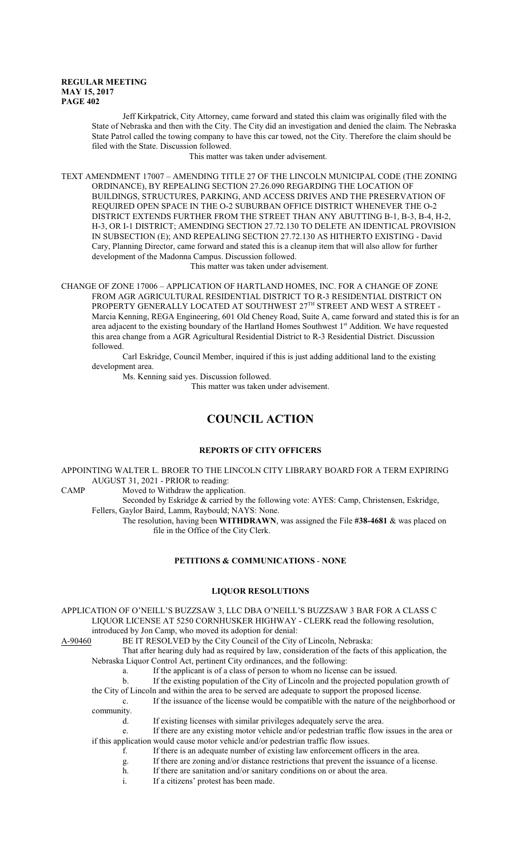Jeff Kirkpatrick, City Attorney, came forward and stated this claim was originally filed with the State of Nebraska and then with the City. The City did an investigation and denied the claim. The Nebraska State Patrol called the towing company to have this car towed, not the City. Therefore the claim should be filed with the State. Discussion followed.

This matter was taken under advisement.

TEXT AMENDMENT 17007 – AMENDING TITLE 27 OF THE LINCOLN MUNICIPAL CODE (THE ZONING ORDINANCE), BY REPEALING SECTION 27.26.090 REGARDING THE LOCATION OF BUILDINGS, STRUCTURES, PARKING, AND ACCESS DRIVES AND THE PRESERVATION OF REQUIRED OPEN SPACE IN THE O-2 SUBURBAN OFFICE DISTRICT WHENEVER THE O-2 DISTRICT EXTENDS FURTHER FROM THE STREET THAN ANY ABUTTING B-1, B-3, B-4, H-2, H-3, OR I-1 DISTRICT; AMENDING SECTION 27.72.130 TO DELETE AN IDENTICAL PROVISION IN SUBSECTION (E); AND REPEALING SECTION 27.72.130 AS HITHERTO EXISTING - David Cary, Planning Director, came forward and stated this is a cleanup item that will also allow for further development of the Madonna Campus. Discussion followed.

This matter was taken under advisement.

CHANGE OF ZONE 17006 – APPLICATION OF HARTLAND HOMES, INC. FOR A CHANGE OF ZONE FROM AGR AGRICULTURAL RESIDENTIAL DISTRICT TO R-3 RESIDENTIAL DISTRICT ON PROPERTY GENERALLY LOCATED AT SOUTHWEST  $27^{\text{TH}}$  STREET AND WEST A STREET -Marcia Kenning, REGA Engineering, 601 Old Cheney Road, Suite A, came forward and stated this is for an area adjacent to the existing boundary of the Hartland Homes Southwest 1st Addition. We have requested this area change from a AGR Agricultural Residential District to R-3 Residential District. Discussion followed.

Carl Eskridge, Council Member, inquired if this is just adding additional land to the existing development area.

Ms. Kenning said yes. Discussion followed.

This matter was taken under advisement.

# **COUNCIL ACTION**

# **REPORTS OF CITY OFFICERS**

APPOINTING WALTER L. BROER TO THE LINCOLN CITY LIBRARY BOARD FOR A TERM EXPIRING AUGUST 31, 2021 - PRIOR to reading:

CAMP Moved to Withdraw the application.

Seconded by Eskridge & carried by the following vote: AYES: Camp, Christensen, Eskridge, Fellers, Gaylor Baird, Lamm, Raybould; NAYS: None.

The resolution, having been **WITHDRAWN**, was assigned the File **#38-4681** & was placed on file in the Office of the City Clerk.

# **PETITIONS & COMMUNICATIONS** - **NONE**

#### **LIQUOR RESOLUTIONS**

APPLICATION OF O'NEILL'S BUZZSAW 3, LLC DBA O'NEILL'S BUZZSAW 3 BAR FOR A CLASS C LIQUOR LICENSE AT 5250 CORNHUSKER HIGHWAY - CLERK read the following resolution,

introduced by Jon Camp, who moved its adoption for denial:<br>A-90460 BE IT RESOLVED by the City Council of the City BE IT RESOLVED by the City Council of the City of Lincoln, Nebraska:

That after hearing duly had as required by law, consideration of the facts of this application, the Nebraska Liquor Control Act, pertinent City ordinances, and the following:

a. If the applicant is of a class of person to whom no license can be issued.

b. If the existing population of the City of Lincoln and the projected population growth of

the City of Lincoln and within the area to be served are adequate to support the proposed license.

c. If the issuance of the license would be compatible with the nature of the neighborhood or community.

d. If existing licenses with similar privileges adequately serve the area.

e. If there are any existing motor vehicle and/or pedestrian traffic flow issues in the area or if this application would cause motor vehicle and/or pedestrian traffic flow issues.

- f. If there is an adequate number of existing law enforcement officers in the area.
- g. If there are zoning and/or distance restrictions that prevent the issuance of a license.
- h. If there are sanitation and/or sanitary conditions on or about the area.
- i. If a citizens' protest has been made.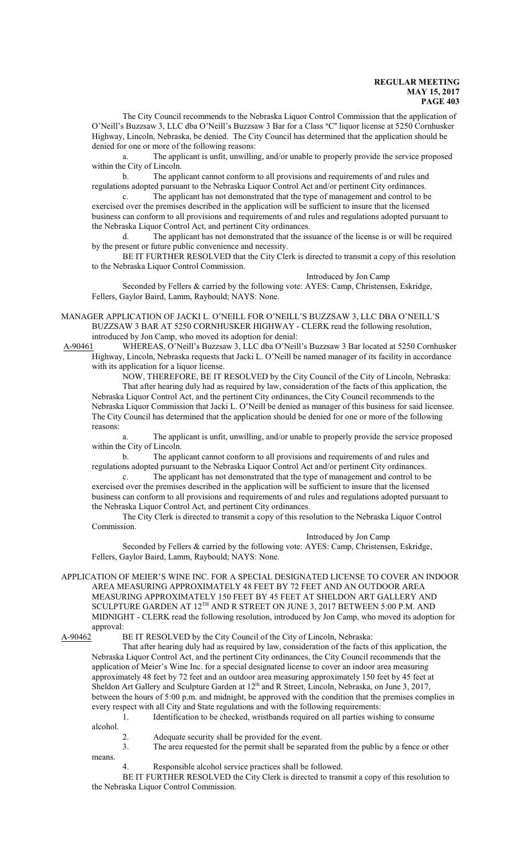The City Council recommends to the Nebraska Liquor Control Commission that the application of O'Neill's Buzzsaw 3, LLC dba O'Neill's Buzzsaw 3 Bar for a Class "C" liquor license at 5250 Cornhusker Highway, Lincoln, Nebraska, be denied. The City Council has determined that the application should be denied for one or more of the following reasons:

a. The applicant is unfit, unwilling, and/or unable to properly provide the service proposed within the City of Lincoln.

b. The applicant cannot conform to all provisions and requirements of and rules and regulations adopted pursuant to the Nebraska Liquor Control Act and/or pertinent City ordinances.

c. The applicant has not demonstrated that the type of management and control to be exercised over the premises described in the application will be sufficient to insure that the licensed business can conform to all provisions and requirements of and rules and regulations adopted pursuant to the Nebraska Liquor Control Act, and pertinent City ordinances.

d. The applicant has not demonstrated that the issuance of the license is or will be required by the present or future public convenience and necessity.

BE IT FURTHER RESOLVED that the City Clerk is directed to transmit a copy of this resolution to the Nebraska Liquor Control Commission.

Introduced by Jon Camp Seconded by Fellers & carried by the following vote: AYES: Camp, Christensen, Eskridge, Fellers, Gaylor Baird, Lamm, Raybould; NAYS: None.

MANAGER APPLICATION OF JACKI L. O'NEILL FOR O'NEILL'S BUZZSAW 3, LLC DBA O'NEILL'S BUZZSAW 3 BAR AT 5250 CORNHUSKER HIGHWAY - CLERK read the following resolution, introduced by Jon Camp, who moved its adoption for denial:

 A-90461 WHEREAS, O'Neill's Buzzsaw 3, LLC dba O'Neill's Buzzsaw 3 Bar located at 5250 Cornhusker Highway, Lincoln, Nebraska requests that Jacki L. O'Neill be named manager of its facility in accordance with its application for a liquor license.

NOW, THEREFORE, BE IT RESOLVED by the City Council of the City of Lincoln, Nebraska: That after hearing duly had as required by law, consideration of the facts of this application, the Nebraska Liquor Control Act, and the pertinent City ordinances, the City Council recommends to the Nebraska Liquor Commission that Jacki L. O'Neill be denied as manager of this business for said licensee. The City Council has determined that the application should be denied for one or more of the following reasons:

a. The applicant is unfit, unwilling, and/or unable to properly provide the service proposed within the City of Lincoln.

b. The applicant cannot conform to all provisions and requirements of and rules and regulations adopted pursuant to the Nebraska Liquor Control Act and/or pertinent City ordinances.

c. The applicant has not demonstrated that the type of management and control to be exercised over the premises described in the application will be sufficient to insure that the licensed business can conform to all provisions and requirements of and rules and regulations adopted pursuant to the Nebraska Liquor Control Act, and pertinent City ordinances.

The City Clerk is directed to transmit a copy of this resolution to the Nebraska Liquor Control Commission.

Introduced by Jon Camp

Seconded by Fellers & carried by the following vote: AYES: Camp, Christensen, Eskridge, Fellers, Gaylor Baird, Lamm, Raybould; NAYS: None.

APPLICATION OF MEIER'S WINE INC. FOR A SPECIAL DESIGNATED LICENSE TO COVER AN INDOOR AREA MEASURING APPROXIMATELY 48 FEET BY 72 FEET AND AN OUTDOOR AREA MEASURING APPROXIMATELY 150 FEET BY 45 FEET AT SHELDON ART GALLERY AND SCULPTURE GARDEN AT  $12^{\text{TH}}$  AND R STREET ON JUNE 3, 2017 BETWEEN 5:00 P.M. AND MIDNIGHT - CLERK read the following resolution, introduced by Jon Camp, who moved its adoption for approval:<br>A-90462

BE IT RESOLVED by the City Council of the City of Lincoln, Nebraska:

That after hearing duly had as required by law, consideration of the facts of this application, the Nebraska Liquor Control Act, and the pertinent City ordinances, the City Council recommends that the application of Meier's Wine Inc. for a special designated license to cover an indoor area measuring approximately 48 feet by 72 feet and an outdoor area measuring approximately 150 feet by 45 feet at Sheldon Art Gallery and Sculpture Garden at 12<sup>th</sup> and R Street, Lincoln, Nebraska, on June 3, 2017, between the hours of 5:00 p.m. and midnight, be approved with the condition that the premises complies in every respect with all City and State regulations and with the following requirements: 1. Identification to be checked, wristbands required on all parties wishing to consume

alcohol.

means.

- 2. Adequate security shall be provided for the event.
- 3. The area requested for the permit shall be separated from the public by a fence or other
- 4. Responsible alcohol service practices shall be followed.

BE IT FURTHER RESOLVED the City Clerk is directed to transmit a copy of this resolution to the Nebraska Liquor Control Commission.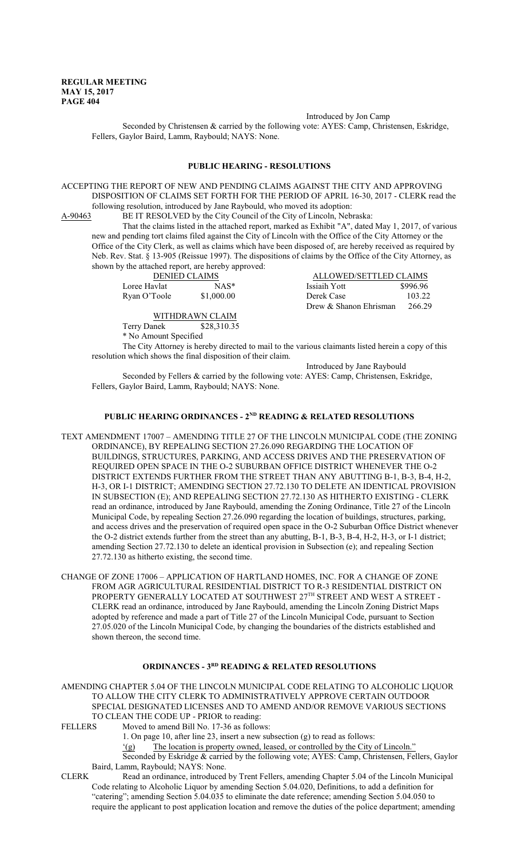Introduced by Jon Camp

Seconded by Christensen & carried by the following vote: AYES: Camp, Christensen, Eskridge, Fellers, Gaylor Baird, Lamm, Raybould; NAYS: None.

#### **PUBLIC HEARING - RESOLUTIONS**

ACCEPTING THE REPORT OF NEW AND PENDING CLAIMS AGAINST THE CITY AND APPROVING DISPOSITION OF CLAIMS SET FORTH FOR THE PERIOD OF APRIL 16-30, 2017 - CLERK read the following resolution, introduced by Jane Raybould, who moved its adoption:

A-90463 BE IT RESOLVED by the City Council of the City of Lincoln, Nebraska:

That the claims listed in the attached report, marked as Exhibit "A", dated May 1, 2017, of various new and pending tort claims filed against the City of Lincoln with the Office of the City Attorney or the Office of the City Clerk, as well as claims which have been disposed of, are hereby received as required by Neb. Rev. Stat. § 13-905 (Reissue 1997). The dispositions of claims by the Office of the City Attorney, as shown by the attached report, are hereby approved:

DENIED CLAIMS Loree Havlat  $NAS^*$  I<br>Ryan O'Toole \$1,000.00 I  $Ryan O'Toole$  \$1,000.00 D

| ALLOWED/SETTLED CLAIMS |          |
|------------------------|----------|
| Issiaih Yott           | \$996.96 |
| Derek Case             | 103.22   |
| Drew & Shanon Ehrisman | 266.29   |

WITHDRAWN CLAIM Terry Danek \$28,310.35 \* No Amount Specified

The City Attorney is hereby directed to mail to the various claimants listed herein a copy of this resolution which shows the final disposition of their claim.

Introduced by Jane Raybould Seconded by Fellers & carried by the following vote: AYES: Camp, Christensen, Eskridge, Fellers, Gaylor Baird, Lamm, Raybould; NAYS: None.

#### **PUBLIC HEARING ORDINANCES - 2ND READING & RELATED RESOLUTIONS**

- TEXT AMENDMENT 17007 AMENDING TITLE 27 OF THE LINCOLN MUNICIPAL CODE (THE ZONING ORDINANCE), BY REPEALING SECTION 27.26.090 REGARDING THE LOCATION OF BUILDINGS, STRUCTURES, PARKING, AND ACCESS DRIVES AND THE PRESERVATION OF REQUIRED OPEN SPACE IN THE O-2 SUBURBAN OFFICE DISTRICT WHENEVER THE O-2 DISTRICT EXTENDS FURTHER FROM THE STREET THAN ANY ABUTTING B-1, B-3, B-4, H-2, H-3, OR I-1 DISTRICT; AMENDING SECTION 27.72.130 TO DELETE AN IDENTICAL PROVISION IN SUBSECTION (E); AND REPEALING SECTION 27.72.130 AS HITHERTO EXISTING - CLERK read an ordinance, introduced by Jane Raybould, amending the Zoning Ordinance, Title 27 of the Lincoln Municipal Code, by repealing Section 27.26.090 regarding the location of buildings, structures, parking, and access drives and the preservation of required open space in the O-2 Suburban Office District whenever the O-2 district extends further from the street than any abutting, B-1, B-3, B-4, H-2, H-3, or I-1 district; amending Section 27.72.130 to delete an identical provision in Subsection (e); and repealing Section 27.72.130 as hitherto existing, the second time.
- CHANGE OF ZONE 17006 APPLICATION OF HARTLAND HOMES, INC. FOR A CHANGE OF ZONE FROM AGR AGRICULTURAL RESIDENTIAL DISTRICT TO R-3 RESIDENTIAL DISTRICT ON PROPERTY GENERALLY LOCATED AT SOUTHWEST  $27^{\text{\tiny{TH}}}$  STREET AND WEST A STREET -CLERK read an ordinance, introduced by Jane Raybould, amending the Lincoln Zoning District Maps adopted by reference and made a part of Title 27 of the Lincoln Municipal Code, pursuant to Section 27.05.020 of the Lincoln Municipal Code, by changing the boundaries of the districts established and shown thereon, the second time.

#### **ORDINANCES - 3RD READING & RELATED RESOLUTIONS**

AMENDING CHAPTER 5.04 OF THE LINCOLN MUNICIPAL CODE RELATING TO ALCOHOLIC LIQUOR TO ALLOW THE CITY CLERK TO ADMINISTRATIVELY APPROVE CERTAIN OUTDOOR SPECIAL DESIGNATED LICENSES AND TO AMEND AND/OR REMOVE VARIOUS SECTIONS TO CLEAN THE CODE UP - PRIOR to reading:

FELLERS Moved to amend Bill No. 17-36 as follows:

- 1. On page 10, after line 23, insert a new subsection (g) to read as follows:
- '(g) The location is property owned, leased, or controlled by the City of Lincoln."

Seconded by Eskridge & carried by the following vote; AYES: Camp, Christensen, Fellers, Gaylor Baird, Lamm, Raybould; NAYS: None.

CLERK Read an ordinance, introduced by Trent Fellers, amending Chapter 5.04 of the Lincoln Municipal Code relating to Alcoholic Liquor by amending Section 5.04.020, Definitions, to add a definition for "catering"; amending Section 5.04.035 to eliminate the date reference; amending Section 5.04.050 to require the applicant to post application location and remove the duties of the police department; amending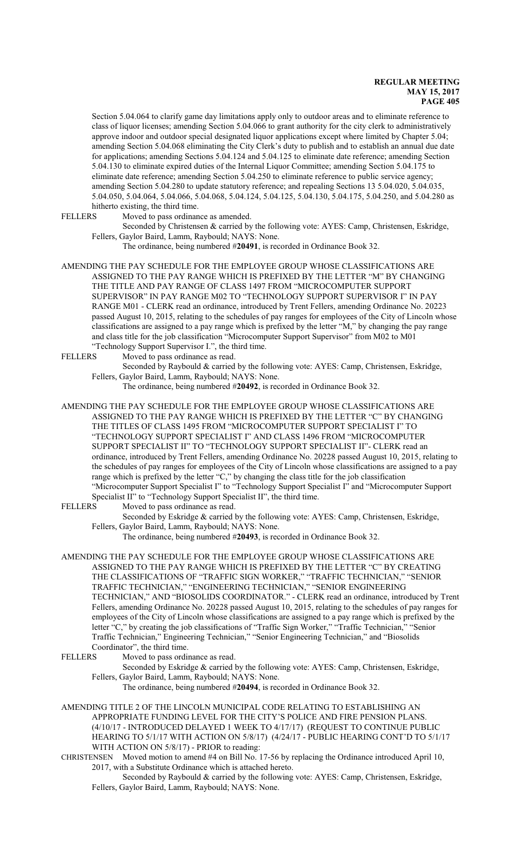Section 5.04.064 to clarify game day limitations apply only to outdoor areas and to eliminate reference to class of liquor licenses; amending Section 5.04.066 to grant authority for the city clerk to administratively approve indoor and outdoor special designated liquor applications except where limited by Chapter 5.04; amending Section 5.04.068 eliminating the City Clerk's duty to publish and to establish an annual due date for applications; amending Sections 5.04.124 and 5.04.125 to eliminate date reference; amending Section 5.04.130 to eliminate expired duties of the Internal Liquor Committee; amending Section 5.04.175 to eliminate date reference; amending Section 5.04.250 to eliminate reference to public service agency; amending Section 5.04.280 to update statutory reference; and repealing Sections 13 5.04.020, 5.04.035, 5.04.050, 5.04.064, 5.04.066, 5.04.068, 5.04.124, 5.04.125, 5.04.130, 5.04.175, 5.04.250, and 5.04.280 as hitherto existing, the third time.

FELLERS Moved to pass ordinance as amended.

Seconded by Christensen & carried by the following vote: AYES: Camp, Christensen, Eskridge, Fellers, Gaylor Baird, Lamm, Raybould; NAYS: None.

The ordinance, being numbered #**20491**, is recorded in Ordinance Book 32.

AMENDING THE PAY SCHEDULE FOR THE EMPLOYEE GROUP WHOSE CLASSIFICATIONS ARE ASSIGNED TO THE PAY RANGE WHICH IS PREFIXED BY THE LETTER "M" BY CHANGING THE TITLE AND PAY RANGE OF CLASS 1497 FROM "MICROCOMPUTER SUPPORT SUPERVISOR" IN PAY RANGE M02 TO "TECHNOLOGY SUPPORT SUPERVISOR I" IN PAY RANGE M01 - CLERK read an ordinance, introduced by Trent Fellers, amending Ordinance No. 20223 passed August 10, 2015, relating to the schedules of pay ranges for employees of the City of Lincoln whose classifications are assigned to a pay range which is prefixed by the letter "M," by changing the pay range and class title for the job classification "Microcomputer Support Supervisor" from M02 to M01 "Technology Support Supervisor I.", the third time.

FELLERS Moved to pass ordinance as read.

Seconded by Raybould & carried by the following vote: AYES: Camp, Christensen, Eskridge, Fellers, Gaylor Baird, Lamm, Raybould; NAYS: None.

The ordinance, being numbered #**20492**, is recorded in Ordinance Book 32.

AMENDING THE PAY SCHEDULE FOR THE EMPLOYEE GROUP WHOSE CLASSIFICATIONS ARE ASSIGNED TO THE PAY RANGE WHICH IS PREFIXED BY THE LETTER "C" BY CHANGING THE TITLES OF CLASS 1495 FROM "MICROCOMPUTER SUPPORT SPECIALIST I" TO "TECHNOLOGY SUPPORT SPECIALIST I" AND CLASS 1496 FROM "MICROCOMPUTER SUPPORT SPECIALIST II" TO "TECHNOLOGY SUPPORT SPECIALIST II"- CLERK read an ordinance, introduced by Trent Fellers, amending Ordinance No. 20228 passed August 10, 2015, relating to the schedules of pay ranges for employees of the City of Lincoln whose classifications are assigned to a pay range which is prefixed by the letter "C," by changing the class title for the job classification "Microcomputer Support Specialist I" to "Technology Support Specialist I" and "Microcomputer Support Specialist II" to "Technology Support Specialist II", the third time.<br>FELLERS Moved to pass ordinance as read.

Moved to pass ordinance as read.

Seconded by Eskridge & carried by the following vote: AYES: Camp, Christensen, Eskridge, Fellers, Gaylor Baird, Lamm, Raybould; NAYS: None.

The ordinance, being numbered #**20493**, is recorded in Ordinance Book 32.

AMENDING THE PAY SCHEDULE FOR THE EMPLOYEE GROUP WHOSE CLASSIFICATIONS ARE ASSIGNED TO THE PAY RANGE WHICH IS PREFIXED BY THE LETTER "C" BY CREATING THE CLASSIFICATIONS OF "TRAFFIC SIGN WORKER," "TRAFFIC TECHNICIAN," "SENIOR TRAFFIC TECHNICIAN," "ENGINEERING TECHNICIAN," "SENIOR ENGINEERING TECHNICIAN," AND "BIOSOLIDS COORDINATOR." - CLERK read an ordinance, introduced by Trent Fellers, amending Ordinance No. 20228 passed August 10, 2015, relating to the schedules of pay ranges for employees of the City of Lincoln whose classifications are assigned to a pay range which is prefixed by the letter "C," by creating the job classifications of "Traffic Sign Worker," "Traffic Technician," "Senior Traffic Technician," Engineering Technician," "Senior Engineering Technician," and "Biosolids Coordinator", the third time.

FELLERS Moved to pass ordinance as read.

Seconded by Eskridge & carried by the following vote: AYES: Camp, Christensen, Eskridge, Fellers, Gaylor Baird, Lamm, Raybould; NAYS: None.

The ordinance, being numbered #**20494**, is recorded in Ordinance Book 32.

AMENDING TITLE 2 OF THE LINCOLN MUNICIPAL CODE RELATING TO ESTABLISHING AN APPROPRIATE FUNDING LEVEL FOR THE CITY'S POLICE AND FIRE PENSION PLANS. (4/10/17 - INTRODUCED DELAYED 1 WEEK TO 4/17/17) (REQUEST TO CONTINUE PUBLIC HEARING TO 5/1/17 WITH ACTION ON 5/8/17) (4/24/17 - PUBLIC HEARING CONT'D TO 5/1/17 WITH ACTION ON 5/8/17) - PRIOR to reading:

CHRISTENSEN Moved motion to amend #4 on Bill No. 17-56 by replacing the Ordinance introduced April 10, 2017, with a Substitute Ordinance which is attached hereto.

Seconded by Raybould & carried by the following vote: AYES: Camp, Christensen, Eskridge, Fellers, Gaylor Baird, Lamm, Raybould; NAYS: None.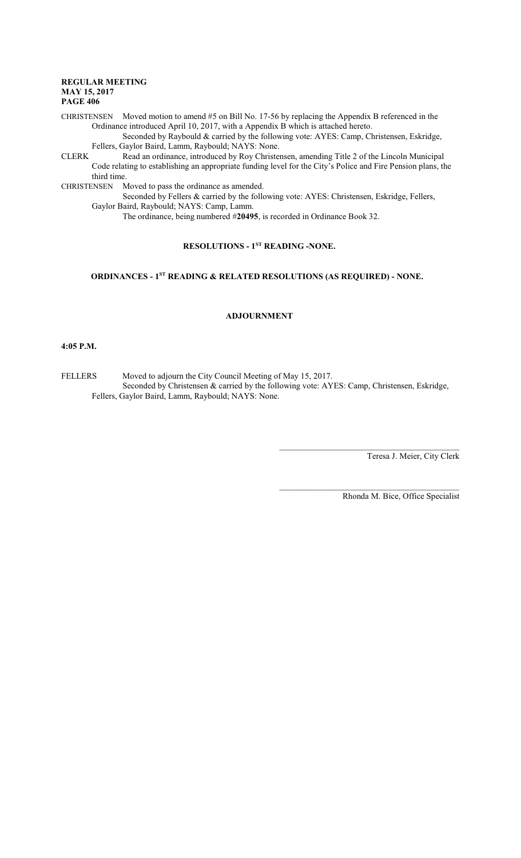CHRISTENSEN Moved motion to amend #5 on Bill No. 17-56 by replacing the Appendix B referenced in the Ordinance introduced April 10, 2017, with a Appendix B which is attached hereto.

Seconded by Raybould & carried by the following vote: AYES: Camp, Christensen, Eskridge, Fellers, Gaylor Baird, Lamm, Raybould; NAYS: None.

CLERK Read an ordinance, introduced by Roy Christensen, amending Title 2 of the Lincoln Municipal Code relating to establishing an appropriate funding level for the City's Police and Fire Pension plans, the third time.

CHRISTENSEN Moved to pass the ordinance as amended.

Seconded by Fellers & carried by the following vote: AYES: Christensen, Eskridge, Fellers, Gaylor Baird, Raybould; NAYS: Camp, Lamm.

The ordinance, being numbered #**20495**, is recorded in Ordinance Book 32.

# **RESOLUTIONS - 1ST READING -NONE.**

# **ORDINANCES - 1ST READING & RELATED RESOLUTIONS (AS REQUIRED) - NONE.**

# **ADJOURNMENT**

#### **4:05 P.M.**

FELLERS Moved to adjourn the City Council Meeting of May 15, 2017. Seconded by Christensen & carried by the following vote: AYES: Camp, Christensen, Eskridge, Fellers, Gaylor Baird, Lamm, Raybould; NAYS: None.

Teresa J. Meier, City Clerk

Rhonda M. Bice, Office Specialist

 $\mathcal{L}_\mathcal{L}$  , and the set of the set of the set of the set of the set of the set of the set of the set of the set of the set of the set of the set of the set of the set of the set of the set of the set of the set of th

 $\mathcal{L}_\mathcal{L}$  , and the set of the set of the set of the set of the set of the set of the set of the set of the set of the set of the set of the set of the set of the set of the set of the set of the set of the set of th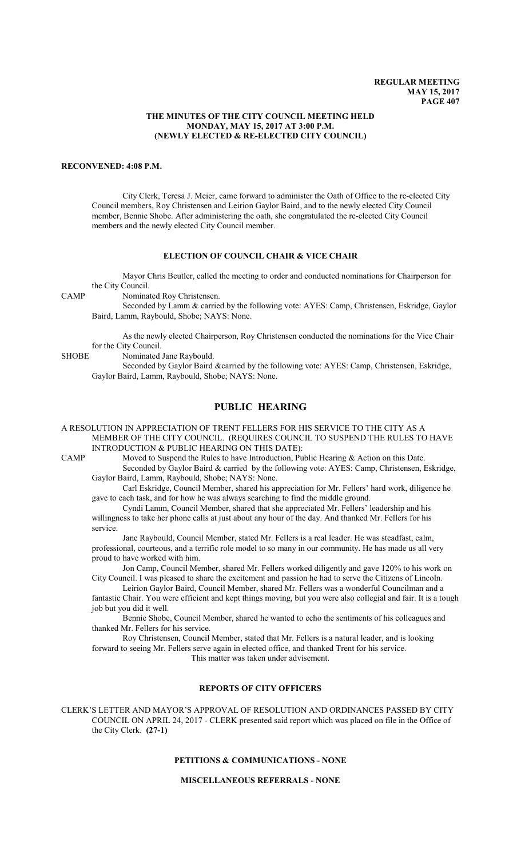#### **THE MINUTES OF THE CITY COUNCIL MEETING HELD MONDAY, MAY 15, 2017 AT 3:00 P.M. (NEWLY ELECTED & RE-ELECTED CITY COUNCIL)**

#### **RECONVENED: 4:08 P.M.**

City Clerk, Teresa J. Meier, came forward to administer the Oath of Office to the re-elected City Council members, Roy Christensen and Leirion Gaylor Baird, and to the newly elected City Council member, Bennie Shobe. After administering the oath, she congratulated the re-elected City Council members and the newly elected City Council member.

#### **ELECTION OF COUNCIL CHAIR & VICE CHAIR**

Mayor Chris Beutler, called the meeting to order and conducted nominations for Chairperson for the City Council.

CAMP Nominated Roy Christensen.

Seconded by Lamm & carried by the following vote: AYES: Camp, Christensen, Eskridge, Gaylor Baird, Lamm, Raybould, Shobe; NAYS: None.

As the newly elected Chairperson, Roy Christensen conducted the nominations for the Vice Chair for the City Council.

SHOBE Nominated Jane Raybould.

Seconded by Gaylor Baird &carried by the following vote: AYES: Camp, Christensen, Eskridge, Gaylor Baird, Lamm, Raybould, Shobe; NAYS: None.

# **PUBLIC HEARING**

A RESOLUTION IN APPRECIATION OF TRENT FELLERS FOR HIS SERVICE TO THE CITY AS A MEMBER OF THE CITY COUNCIL. (REQUIRES COUNCIL TO SUSPEND THE RULES TO HAVE INTRODUCTION & PUBLIC HEARING ON THIS DATE):

CAMP Moved to Suspend the Rules to have Introduction, Public Hearing & Action on this Date. Seconded by Gaylor Baird & carried by the following vote: AYES: Camp, Christensen, Eskridge, Gaylor Baird, Lamm, Raybould, Shobe; NAYS: None.

Carl Eskridge, Council Member, shared his appreciation for Mr. Fellers' hard work, diligence he gave to each task, and for how he was always searching to find the middle ground.

Cyndi Lamm, Council Member, shared that she appreciated Mr. Fellers' leadership and his willingness to take her phone calls at just about any hour of the day. And thanked Mr. Fellers for his service.

Jane Raybould, Council Member, stated Mr. Fellers is a real leader. He was steadfast, calm, professional, courteous, and a terrific role model to so many in our community. He has made us all very proud to have worked with him.

Jon Camp, Council Member, shared Mr. Fellers worked diligently and gave 120% to his work on City Council. I was pleased to share the excitement and passion he had to serve the Citizens of Lincoln.

 Leirion Gaylor Baird, Council Member, shared Mr. Fellers was a wonderful Councilman and a fantastic Chair. You were efficient and kept things moving, but you were also collegial and fair. It is a tough job but you did it well.

Bennie Shobe, Council Member, shared he wanted to echo the sentiments of his colleagues and thanked Mr. Fellers for his service.

Roy Christensen, Council Member, stated that Mr. Fellers is a natural leader, and is looking forward to seeing Mr. Fellers serve again in elected office, and thanked Trent for his service.

This matter was taken under advisement.

# **REPORTS OF CITY OFFICERS**

CLERK'S LETTER AND MAYOR'S APPROVAL OF RESOLUTION AND ORDINANCES PASSED BY CITY COUNCIL ON APRIL 24, 2017 - CLERK presented said report which was placed on file in the Office of the City Clerk. **(27-1)**

# **PETITIONS & COMMUNICATIONS - NONE**

**MISCELLANEOUS REFERRALS - NONE**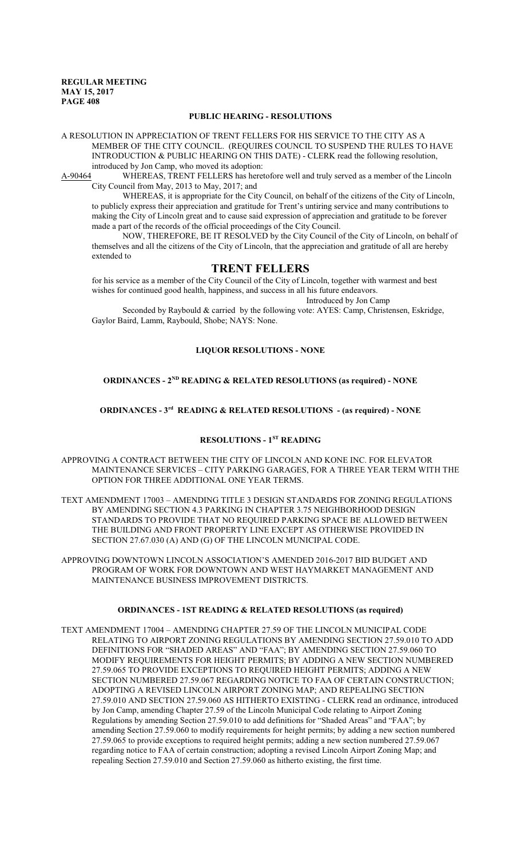#### **PUBLIC HEARING - RESOLUTIONS**

A RESOLUTION IN APPRECIATION OF TRENT FELLERS FOR HIS SERVICE TO THE CITY AS A MEMBER OF THE CITY COUNCIL. (REQUIRES COUNCIL TO SUSPEND THE RULES TO HAVE INTRODUCTION & PUBLIC HEARING ON THIS DATE) - CLERK read the following resolution, introduced by Jon Camp, who moved its adoption:

A-90464 WHEREAS, TRENT FELLERS has heretofore well and truly served as a member of the Lincoln City Council from May, 2013 to May, 2017; and

WHEREAS, it is appropriate for the City Council, on behalf of the citizens of the City of Lincoln, to publicly express their appreciation and gratitude for Trent's untiring service and many contributions to making the City of Lincoln great and to cause said expression of appreciation and gratitude to be forever made a part of the records of the official proceedings of the City Council.

NOW, THEREFORE, BE IT RESOLVED by the City Council of the City of Lincoln, on behalf of themselves and all the citizens of the City of Lincoln, that the appreciation and gratitude of all are hereby extended to

# **TRENT FELLERS**

for his service as a member of the City Council of the City of Lincoln, together with warmest and best wishes for continued good health, happiness, and success in all his future endeavors.

Introduced by Jon Camp

Seconded by Raybould & carried by the following vote: AYES: Camp, Christensen, Eskridge, Gaylor Baird, Lamm, Raybould, Shobe; NAYS: None.

# **LIQUOR RESOLUTIONS - NONE**

#### **ORDINANCES - 2ND READING & RELATED RESOLUTIONS (as required) - NONE**

#### **ORDINANCES - 3rd READING & RELATED RESOLUTIONS - (as required) - NONE**

#### **RESOLUTIONS - 1ST READING**

- APPROVING A CONTRACT BETWEEN THE CITY OF LINCOLN AND KONE INC. FOR ELEVATOR MAINTENANCE SERVICES – CITY PARKING GARAGES, FOR A THREE YEAR TERM WITH THE OPTION FOR THREE ADDITIONAL ONE YEAR TERMS.
- TEXT AMENDMENT 17003 AMENDING TITLE 3 DESIGN STANDARDS FOR ZONING REGULATIONS BY AMENDING SECTION 4.3 PARKING IN CHAPTER 3.75 NEIGHBORHOOD DESIGN STANDARDS TO PROVIDE THAT NO REQUIRED PARKING SPACE BE ALLOWED BETWEEN THE BUILDING AND FRONT PROPERTY LINE EXCEPT AS OTHERWISE PROVIDED IN SECTION 27.67.030 (A) AND (G) OF THE LINCOLN MUNICIPAL CODE.
- APPROVING DOWNTOWN LINCOLN ASSOCIATION'S AMENDED 2016-2017 BID BUDGET AND PROGRAM OF WORK FOR DOWNTOWN AND WEST HAYMARKET MANAGEMENT AND MAINTENANCE BUSINESS IMPROVEMENT DISTRICTS.

### **ORDINANCES - 1ST READING & RELATED RESOLUTIONS (as required)**

TEXT AMENDMENT 17004 – AMENDING CHAPTER 27.59 OF THE LINCOLN MUNICIPAL CODE RELATING TO AIRPORT ZONING REGULATIONS BY AMENDING SECTION 27.59.010 TO ADD DEFINITIONS FOR "SHADED AREAS" AND "FAA"; BY AMENDING SECTION 27.59.060 TO MODIFY REQUIREMENTS FOR HEIGHT PERMITS; BY ADDING A NEW SECTION NUMBERED 27.59.065 TO PROVIDE EXCEPTIONS TO REQUIRED HEIGHT PERMITS; ADDING A NEW SECTION NUMBERED 27.59.067 REGARDING NOTICE TO FAA OF CERTAIN CONSTRUCTION; ADOPTING A REVISED LINCOLN AIRPORT ZONING MAP; AND REPEALING SECTION 27.59.010 AND SECTION 27.59.060 AS HITHERTO EXISTING - CLERK read an ordinance, introduced by Jon Camp, amending Chapter 27.59 of the Lincoln Municipal Code relating to Airport Zoning Regulations by amending Section 27.59.010 to add definitions for "Shaded Areas" and "FAA"; by amending Section 27.59.060 to modify requirements for height permits; by adding a new section numbered 27.59.065 to provide exceptions to required height permits; adding a new section numbered 27.59.067 regarding notice to FAA of certain construction; adopting a revised Lincoln Airport Zoning Map; and repealing Section 27.59.010 and Section 27.59.060 as hitherto existing, the first time.